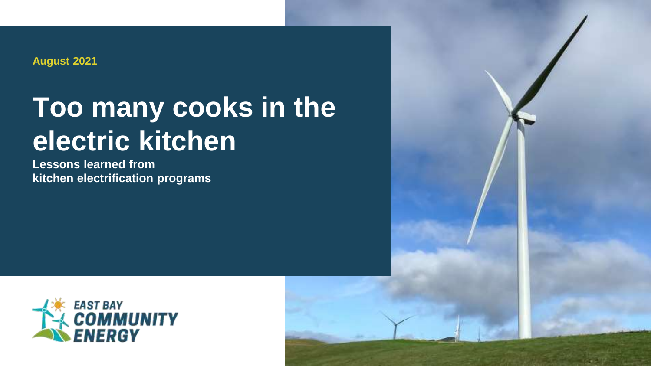**August 2021**

# **Too many cooks in the electric kitchen**

**Lessons learned from kitchen electrification programs**



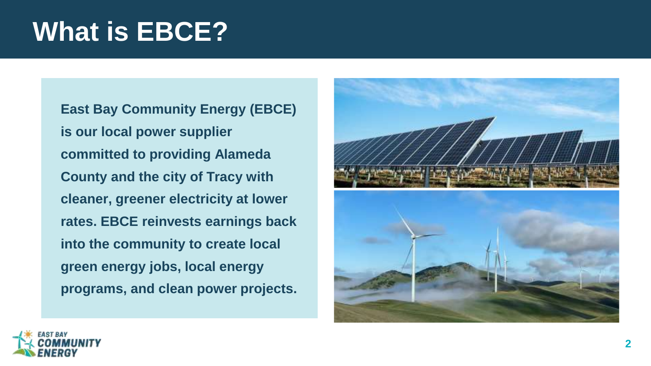## **What is EBCE?**

**East Bay Community Energy (EBCE) is our local power supplier committed to providing Alameda County and the city of Tracy with cleaner, greener electricity at lower rates. EBCE reinvests earnings back into the community to create local green energy jobs, local energy programs, and clean power projects.**



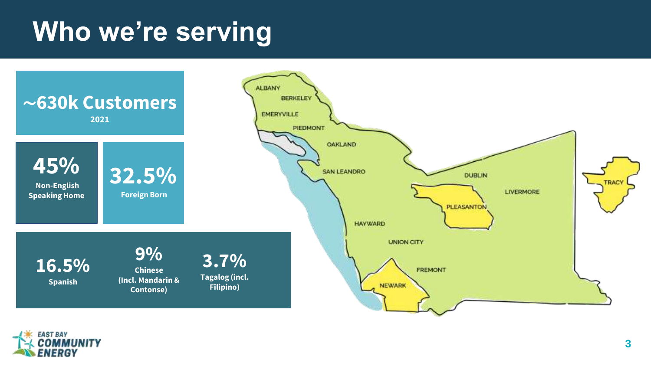## **Who we're serving**



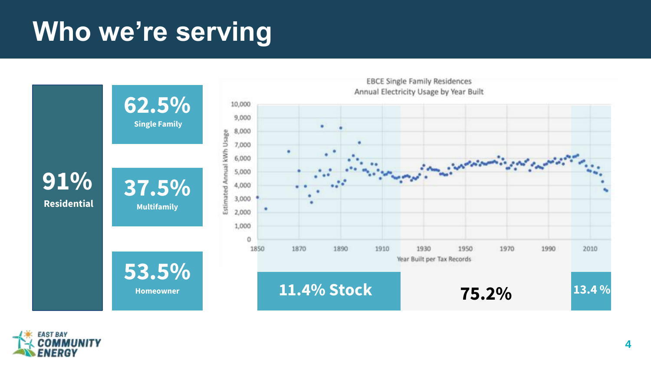# **Who we're serving**





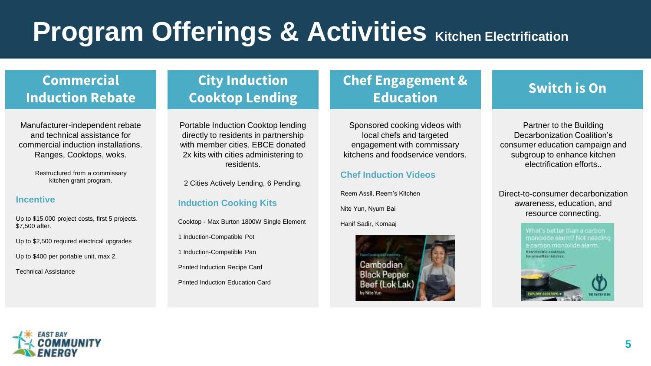# **Program Offerings & Activities Kitchen Electrification**

## **Commercial Induction Rebate**

Manufacturer-independent rebate and technical assistance for commercial induction installations. Ranges, Cooktops, woks.

> Restructured from a commissary kitchen grant program.

#### **Incentive**

Up to \$15,000 project costs, first 5 projects. \$7,500 after.

Up to \$2,500 required electrical upgrades

Up to \$400 per portable unit, max 2.

Technical Assistance

## **City Induction Cooktop Lending**

Portable Induction Cooktop lending directly to residents in partnership with member cities. EBCE donated 2x kits with cities administering to residents.

2 Cities Actively Lending, 6 Pending.

### **Induction Cooking Kits**

Cooktop - Max Burton 1800W Single Element

- 1 Induction-Compatible Pot
- 1 Induction-Compatible Pan

Printed Induction Recipe Card

Printed Induction Education Card

### **Chef Engagement & Education Switch is On**

Sponsored cooking videos with local chefs and targeted engagement with commissary kitchens and foodservice vendors.

### **Chef Induction Videos**

Reem Assil, Reem's Kitchen Nite Yun, Nyum Bai Hanif Sadir, Komaaj



Partner to the Building Decarbonization Coalition's consumer education campaign and subgroup to enhance kitchen electrification efforts..

Direct-to-consumer decarbonization awareness, education, and resource connecting.



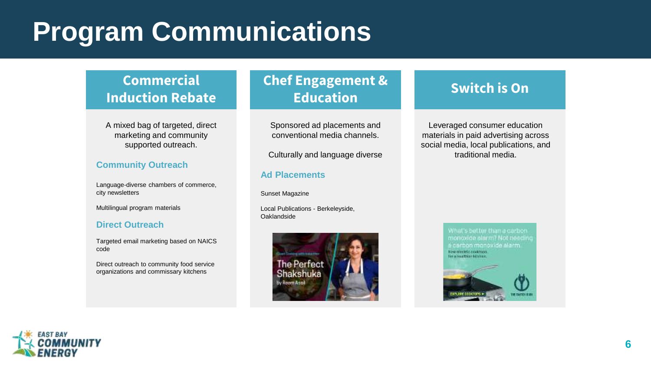# **Program Communications**

## **Commercial Induction Rebate**

A mixed bag of targeted, direct marketing and community supported outreach.

### **Community Outreach**

Language-diverse chambers of commerce, city newsletters

Multilingual program materials

#### **Direct Outreach**

Targeted email marketing based on NAICS code

Direct outreach to community food service organizations and commissary kitchens

## **Chef Engagement & Education Switch is On**

Sponsored ad placements and conventional media channels.

Culturally and language diverse

#### **Ad Placements**

Sunset Magazine

Local Publications - Berkeleyside, Oaklandside



Leveraged consumer education materials in paid advertising across social media, local publications, and traditional media.



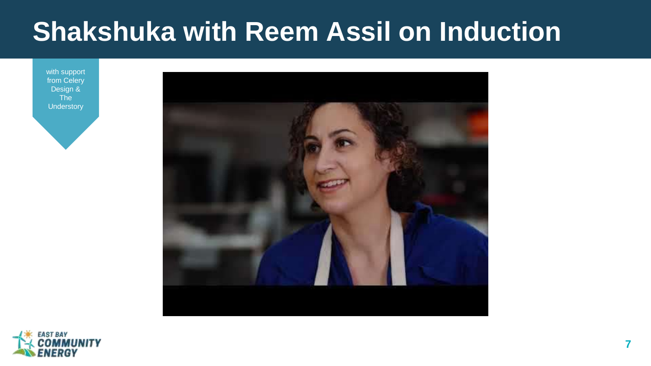## **Shakshuka with Reem Assil on Induction**

with support from Celery Design & The **Understory** 





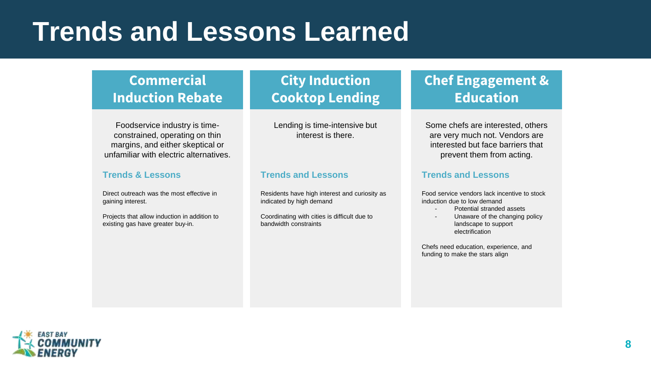## **Trends and Lessons Learned**

### **Commercial Induction Rebate**

Foodservice industry is timeconstrained, operating on thin margins, and either skeptical or unfamiliar with electric alternatives.

#### **Trends & Lessons**

Direct outreach was the most effective in gaining interest.

Projects that allow induction in addition to existing gas have greater buy-in.

## **City Induction Cooktop Lending**

Lending is time-intensive but interest is there.

#### **Trends and Lessons**

Residents have high interest and curiosity as indicated by high demand

Coordinating with cities is difficult due to bandwidth constraints

## **Chef Engagement & Education**

Some chefs are interested, others are very much not. Vendors are interested but face barriers that prevent them from acting.

#### **Trends and Lessons**

Food service vendors lack incentive to stock induction due to low demand

- Potential stranded assets
- Unaware of the changing policy landscape to support electrification

Chefs need education, experience, and funding to make the stars align

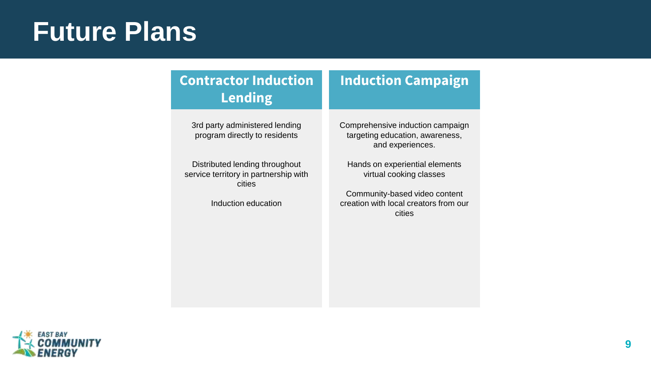## **Future Plans**

## **Contractor Induction Lending**

3rd party administered lending program directly to residents

Distributed lending throughout service territory in partnership with cities

Induction education

## **Induction Campaign**

Comprehensive induction campaign targeting education, awareness, and experiences.

Hands on experiential elements virtual cooking classes

Community-based video content creation with local creators from our cities